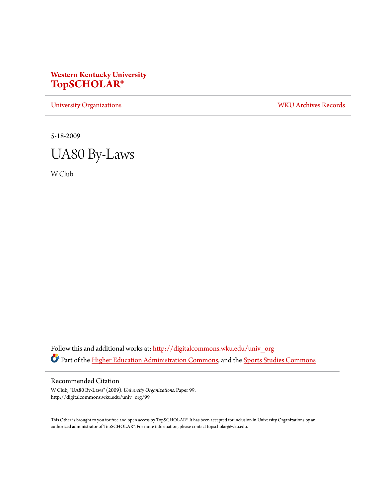#### **Western Kentucky University [TopSCHOLAR®](http://digitalcommons.wku.edu?utm_source=digitalcommons.wku.edu%2Funiv_org%2F99&utm_medium=PDF&utm_campaign=PDFCoverPages)**

[University Organizations](http://digitalcommons.wku.edu/univ_org?utm_source=digitalcommons.wku.edu%2Funiv_org%2F99&utm_medium=PDF&utm_campaign=PDFCoverPages) [WKU Archives Records](http://digitalcommons.wku.edu/dlsc_ua_records?utm_source=digitalcommons.wku.edu%2Funiv_org%2F99&utm_medium=PDF&utm_campaign=PDFCoverPages)

5-18-2009



W Club

Follow this and additional works at: [http://digitalcommons.wku.edu/univ\\_org](http://digitalcommons.wku.edu/univ_org?utm_source=digitalcommons.wku.edu%2Funiv_org%2F99&utm_medium=PDF&utm_campaign=PDFCoverPages) Part of the [Higher Education Administration Commons](http://network.bepress.com/hgg/discipline/791?utm_source=digitalcommons.wku.edu%2Funiv_org%2F99&utm_medium=PDF&utm_campaign=PDFCoverPages), and the [Sports Studies Commons](http://network.bepress.com/hgg/discipline/1198?utm_source=digitalcommons.wku.edu%2Funiv_org%2F99&utm_medium=PDF&utm_campaign=PDFCoverPages)

Recommended Citation

W Club, "UA80 By-Laws" (2009). *University Organizations.* Paper 99. http://digitalcommons.wku.edu/univ\_org/99

This Other is brought to you for free and open access by TopSCHOLAR®. It has been accepted for inclusion in University Organizations by an authorized administrator of TopSCHOLAR®. For more information, please contact topscholar@wku.edu.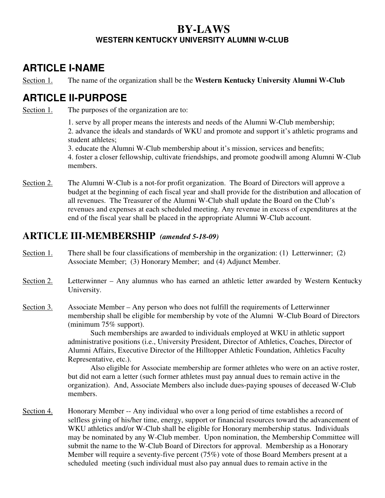#### **BY-LAWS WESTERN KENTUCKY UNIVERSITY ALUMNI W-CLUB**

# **ARTICLE I-NAME**

Section 1. The name of the organization shall be the **Western Kentucky University Alumni W-Club** 

## **ARTICLE II-PURPOSE**

Section 1. The purposes of the organization are to:

1. serve by all proper means the interests and needs of the Alumni W-Club membership; 2. advance the ideals and standards of WKU and promote and support it's athletic programs and student athletes;

3. educate the Alumni W-Club membership about it's mission, services and benefits; 4. foster a closer fellowship, cultivate friendships, and promote goodwill among Alumni W-Club members.

Section 2. The Alumni W-Club is a not-for profit organization. The Board of Directors will approve a budget at the beginning of each fiscal year and shall provide for the distribution and allocation of all revenues. The Treasurer of the Alumni W-Club shall update the Board on the Club's revenues and expenses at each scheduled meeting. Any revenue in excess of expenditures at the end of the fiscal year shall be placed in the appropriate Alumni W-Club account.

#### **ARTICLE III-MEMBERSHIP** *(amended 5-18-09)*

- Section 1. There shall be four classifications of membership in the organization: (1) Letterwinner; (2) Associate Member; (3) Honorary Member; and (4) Adjunct Member.
- Section 2. Letterwinner Any alumnus who has earned an athletic letter awarded by Western Kentucky University.
- Section 3. Associate Member Any person who does not fulfill the requirements of Letterwinner membership shall be eligible for membership by vote of the Alumni W-Club Board of Directors (minimum 75% support).

 Such memberships are awarded to individuals employed at WKU in athletic support administrative positions (i.e., University President, Director of Athletics, Coaches, Director of Alumni Affairs, Executive Director of the Hilltopper Athletic Foundation, Athletics Faculty Representative, etc.).

 Also eligible for Associate membership are former athletes who were on an active roster, but did not earn a letter (such former athletes must pay annual dues to remain active in the organization). And, Associate Members also include dues-paying spouses of deceased W-Club members.

Section 4. Honorary Member -- Any individual who over a long period of time establishes a record of selfless giving of his/her time, energy, support or financial resources toward the advancement of WKU athletics and/or W-Club shall be eligible for Honorary membership status. Individuals may be nominated by any W-Club member. Upon nomination, the Membership Committee will submit the name to the W-Club Board of Directors for approval. Membership as a Honorary Member will require a seventy-five percent (75%) vote of those Board Members present at a scheduled meeting (such individual must also pay annual dues to remain active in the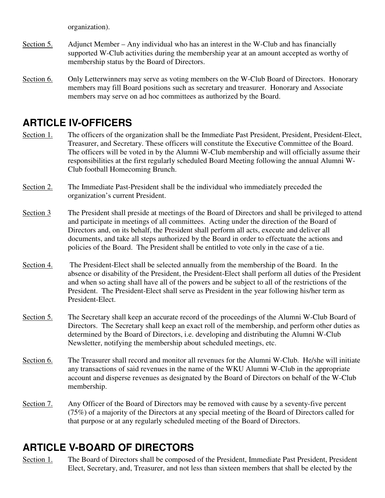organization).

- Section 5. Adjunct Member Any individual who has an interest in the W-Club and has financially supported W-Club activities during the membership year at an amount accepted as worthy of membership status by the Board of Directors.
- Section 6. Only Letterwinners may serve as voting members on the W-Club Board of Directors. Honorary members may fill Board positions such as secretary and treasurer. Honorary and Associate members may serve on ad hoc committees as authorized by the Board.

# **ARTICLE IV-OFFICERS**

- Section 1. The officers of the organization shall be the Immediate Past President, President, President-Elect, Treasurer, and Secretary. These officers will constitute the Executive Committee of the Board. The officers will be voted in by the Alumni W-Club membership and will officially assume their responsibilities at the first regularly scheduled Board Meeting following the annual Alumni W-Club football Homecoming Brunch.
- Section 2. The Immediate Past-President shall be the individual who immediately preceded the organization's current President.
- Section 3 The President shall preside at meetings of the Board of Directors and shall be privileged to attend and participate in meetings of all committees. Acting under the direction of the Board of Directors and, on its behalf, the President shall perform all acts, execute and deliver all documents, and take all steps authorized by the Board in order to effectuate the actions and policies of the Board. The President shall be entitled to vote only in the case of a tie.
- Section 4. The President-Elect shall be selected annually from the membership of the Board. In the absence or disability of the President, the President-Elect shall perform all duties of the President and when so acting shall have all of the powers and be subject to all of the restrictions of the President. The President-Elect shall serve as President in the year following his/her term as President-Elect.
- Section 5. The Secretary shall keep an accurate record of the proceedings of the Alumni W-Club Board of Directors. The Secretary shall keep an exact roll of the membership, and perform other duties as determined by the Board of Directors, i.e. developing and distributing the Alumni W-Club Newsletter, notifying the membership about scheduled meetings, etc.
- Section 6. The Treasurer shall record and monitor all revenues for the Alumni W-Club. He/she will initiate any transactions of said revenues in the name of the WKU Alumni W-Club in the appropriate account and disperse revenues as designated by the Board of Directors on behalf of the W-Club membership.
- Section 7. Any Officer of the Board of Directors may be removed with cause by a seventy-five percent (75%) of a majority of the Directors at any special meeting of the Board of Directors called for that purpose or at any regularly scheduled meeting of the Board of Directors.

# **ARTICLE V-BOARD OF DIRECTORS**

Section 1. The Board of Directors shall be composed of the President, Immediate Past President, President Elect, Secretary, and, Treasurer, and not less than sixteen members that shall be elected by the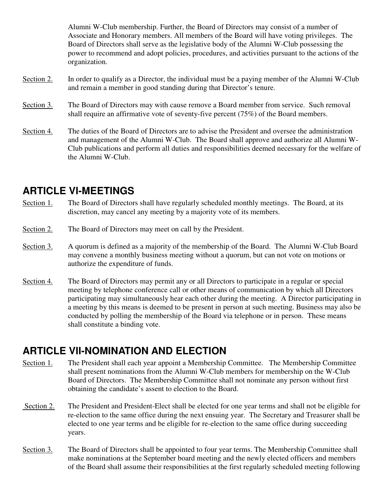Alumni W-Club membership. Further, the Board of Directors may consist of a number of Associate and Honorary members. All members of the Board will have voting privileges. The Board of Directors shall serve as the legislative body of the Alumni W-Club possessing the power to recommend and adopt policies, procedures, and activities pursuant to the actions of the organization.

- Section 2. In order to qualify as a Director, the individual must be a paying member of the Alumni W-Club and remain a member in good standing during that Director's tenure.
- Section 3. The Board of Directors may with cause remove a Board member from service. Such removal shall require an affirmative vote of seventy-five percent (75%) of the Board members.
- Section 4. The duties of the Board of Directors are to advise the President and oversee the administration and management of the Alumni W-Club. The Board shall approve and authorize all Alumni W-Club publications and perform all duties and responsibilities deemed necessary for the welfare of the Alumni W-Club.

### **ARTICLE VI-MEETINGS**

- Section 1. The Board of Directors shall have regularly scheduled monthly meetings. The Board, at its discretion, may cancel any meeting by a majority vote of its members.
- Section 2. The Board of Directors may meet on call by the President.
- Section 3. A quorum is defined as a majority of the membership of the Board. The Alumni W-Club Board may convene a monthly business meeting without a quorum, but can not vote on motions or authorize the expenditure of funds.
- Section 4. The Board of Directors may permit any or all Directors to participate in a regular or special meeting by telephone conference call or other means of communication by which all Directors participating may simultaneously hear each other during the meeting. A Director participating in a meeting by this means is deemed to be present in person at such meeting. Business may also be conducted by polling the membership of the Board via telephone or in person. These means shall constitute a binding vote.

### **ARTICLE VII-NOMINATION AND ELECTION**

- Section 1. The President shall each year appoint a Membership Committee. The Membership Committee shall present nominations from the Alumni W-Club members for membership on the W-Club Board of Directors. The Membership Committee shall not nominate any person without first obtaining the candidate's assent to election to the Board.
- Section 2. The President and President-Elect shall be elected for one year terms and shall not be eligible for re-election to the same office during the next ensuing year. The Secretary and Treasurer shall be elected to one year terms and be eligible for re-election to the same office during succeeding years.
- Section 3. The Board of Directors shall be appointed to four year terms. The Membership Committee shall make nominations at the September board meeting and the newly elected officers and members of the Board shall assume their responsibilities at the first regularly scheduled meeting following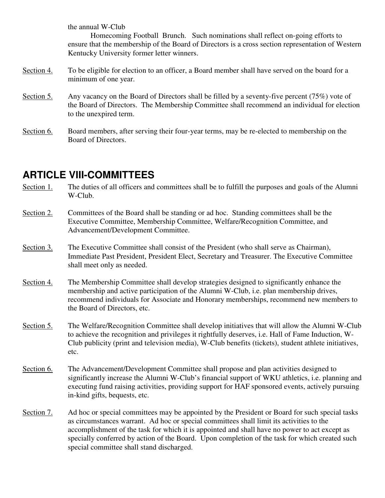the annual W-Club

 Homecoming Football Brunch. Such nominations shall reflect on-going efforts to ensure that the membership of the Board of Directors is a cross section representation of Western Kentucky University former letter winners.

- Section 4. To be eligible for election to an officer, a Board member shall have served on the board for a minimum of one year.
- Section 5. Any vacancy on the Board of Directors shall be filled by a seventy-five percent (75%) vote of the Board of Directors. The Membership Committee shall recommend an individual for election to the unexpired term.
- Section 6. Board members, after serving their four-year terms, may be re-elected to membership on the Board of Directors.

## **ARTICLE VIII-COMMITTEES**

- Section 1. The duties of all officers and committees shall be to fulfill the purposes and goals of the Alumni W-Club.
- Section 2. Committees of the Board shall be standing or ad hoc. Standing committees shall be the Executive Committee, Membership Committee, Welfare/Recognition Committee, and Advancement/Development Committee.
- Section 3. The Executive Committee shall consist of the President (who shall serve as Chairman), Immediate Past President, President Elect, Secretary and Treasurer. The Executive Committee shall meet only as needed.
- Section 4. The Membership Committee shall develop strategies designed to significantly enhance the membership and active participation of the Alumni W-Club, i.e. plan membership drives, recommend individuals for Associate and Honorary memberships, recommend new members to the Board of Directors, etc.
- Section 5. The Welfare/Recognition Committee shall develop initiatives that will allow the Alumni W-Club to achieve the recognition and privileges it rightfully deserves, i.e. Hall of Fame Induction, W-Club publicity (print and television media), W-Club benefits (tickets), student athlete initiatives, etc.
- Section 6. The Advancement/Development Committee shall propose and plan activities designed to significantly increase the Alumni W-Club's financial support of WKU athletics, i.e. planning and executing fund raising activities, providing support for HAF sponsored events, actively pursuing in-kind gifts, bequests, etc.
- Section 7. Ad hoc or special committees may be appointed by the President or Board for such special tasks as circumstances warrant. Ad hoc or special committees shall limit its activities to the accomplishment of the task for which it is appointed and shall have no power to act except as specially conferred by action of the Board. Upon completion of the task for which created such special committee shall stand discharged.